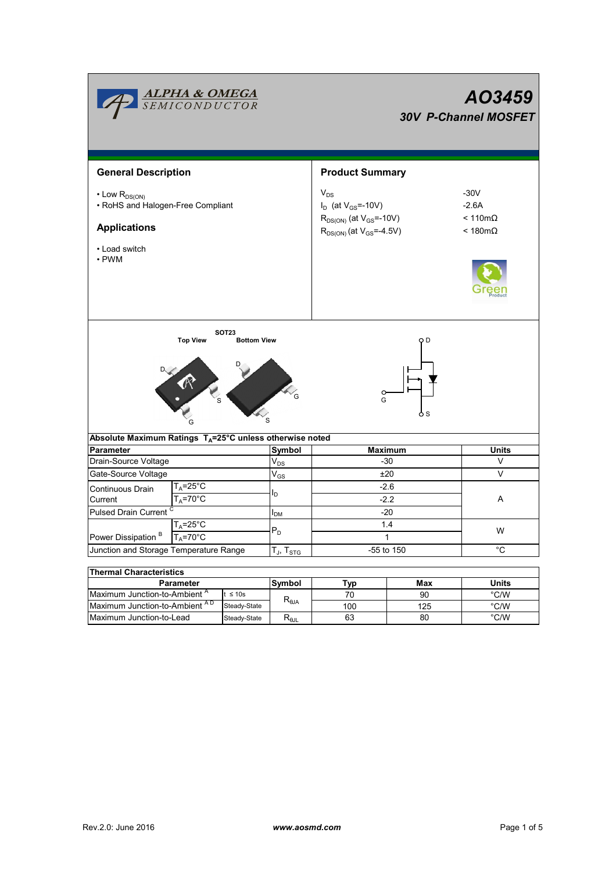| <b>ALPHA &amp; OMEGA</b><br>SEMICONDUCTOR                                                                                                                                  |               |                                                                                                                  | AO3459<br><b>30V P-Channel MOSFET</b>                          |            |                                |  |  |  |
|----------------------------------------------------------------------------------------------------------------------------------------------------------------------------|---------------|------------------------------------------------------------------------------------------------------------------|----------------------------------------------------------------|------------|--------------------------------|--|--|--|
| <b>General Description</b>                                                                                                                                                 |               |                                                                                                                  | <b>Product Summary</b>                                         |            |                                |  |  |  |
| $\cdot$ Low $R_{DS(ON)}$<br>• RoHS and Halogen-Free Compliant<br><b>Applications</b><br>• Load switch                                                                      |               | $V_{DS}$<br>$I_D$ (at $V_{GS}$ =-10V)<br>$R_{DS(ON)}$ (at $V_{GS}$ =-10V)<br>$R_{DS(ON)}$ (at $V_{GS} = -4.5V$ ) | $-30V$<br>$-2.6A$<br>$< 110 \text{m}\Omega$<br>< 180m $\Omega$ |            |                                |  |  |  |
| $\cdot$ PWM                                                                                                                                                                |               |                                                                                                                  |                                                                |            |                                |  |  |  |
| <b>SOT23</b><br><b>Top View</b><br><b>Bottom View</b><br>ח ר<br><b>Contraction</b><br>$\circ$<br>G<br>Absolute Maximum Ratings T <sub>A</sub> =25°C unless otherwise noted |               |                                                                                                                  |                                                                |            |                                |  |  |  |
| <b>Parameter</b>                                                                                                                                                           | <b>Symbol</b> | <b>Maximum</b>                                                                                                   | <b>Units</b>                                                   |            |                                |  |  |  |
| Drain-Source Voltage                                                                                                                                                       |               | $V_{DS}$                                                                                                         | $-30$                                                          |            | V                              |  |  |  |
| Gate-Source Voltage                                                                                                                                                        |               | $V_{GS}$                                                                                                         | ±20                                                            |            | $\vee$                         |  |  |  |
| T <sub>A</sub> =25°C<br>Continuous Drain<br>T <sub>A</sub> =70°C<br>Current                                                                                                |               |                                                                                                                  | $-2.6$<br>$-2.2$                                               |            | Α                              |  |  |  |
| Pulsed Drain Current <sup>C</sup>                                                                                                                                          |               | $I_{DM}$                                                                                                         | $-20$                                                          |            |                                |  |  |  |
| $T_A = 25$ °C<br>$T_A = 70^\circ C$<br>Power Dissipation <sup>B</sup>                                                                                                      |               | $P_D$                                                                                                            | 1.4<br>$\mathbf{1}$                                            |            | W                              |  |  |  |
| Junction and Storage Temperature Range                                                                                                                                     |               | $T_J$ , $T_{STG}$                                                                                                |                                                                | -55 to 150 | °C                             |  |  |  |
|                                                                                                                                                                            |               |                                                                                                                  |                                                                |            |                                |  |  |  |
| <b>Thermal Characteristics</b>                                                                                                                                             |               |                                                                                                                  |                                                                |            |                                |  |  |  |
| Parameter                                                                                                                                                                  |               | Symbol                                                                                                           | Typ                                                            | Max        | <b>Units</b>                   |  |  |  |
| Maximum Junction-to-Ambient <sup>A</sup><br>$t \leq 10s$<br>Maximum Junction-to-Ambient AD<br>Steady-State                                                                 |               | $R_{\theta JA}$                                                                                                  | 70<br>100                                                      | 90<br>125  | $\degree$ C/W<br>$\degree$ C/W |  |  |  |

Steady-State R<sub>θJL</sub>

Maximum Junction-to-Lead Steady-State R<sub>6JL</sub> 63 80 °C/W

63

80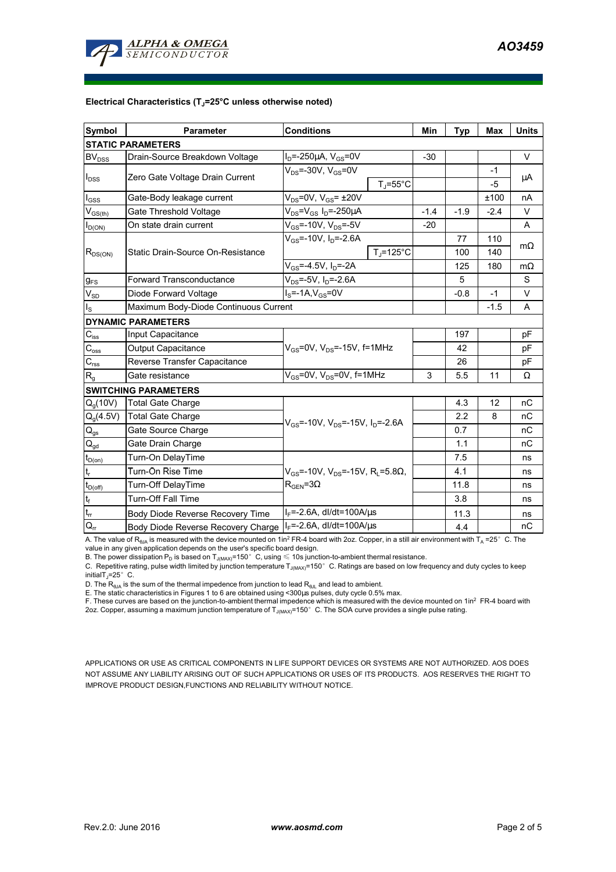

#### **Electrical Characteristics (TJ=25°C unless otherwise noted)**

| <b>Symbol</b>                           | <b>Parameter</b>                      | <b>Conditions</b>                                                                           |                       | Min    | <b>Typ</b> | Max    | <b>Units</b> |  |  |  |  |
|-----------------------------------------|---------------------------------------|---------------------------------------------------------------------------------------------|-----------------------|--------|------------|--------|--------------|--|--|--|--|
| <b>STATIC PARAMETERS</b>                |                                       |                                                                                             |                       |        |            |        |              |  |  |  |  |
| BV <sub>DSS</sub>                       | Drain-Source Breakdown Voltage        | $I_D$ =-250µA, $V_{GS}$ =0V                                                                 |                       | $-30$  |            |        | $\vee$       |  |  |  |  |
| $I_{DSS}$                               | Zero Gate Voltage Drain Current       | $V_{DS}$ =-30V, $V_{GS}$ =0V<br>$T_i = 55^{\circ}C$                                         |                       |        |            | $-1$   | μA           |  |  |  |  |
|                                         |                                       |                                                                                             |                       |        |            | $-5$   |              |  |  |  |  |
| $I_{GSS}$                               | Gate-Body leakage current             | $V_{DS}$ =0V, $V_{GS}$ = $\pm$ 20V                                                          |                       |        |            | ±100   | nA           |  |  |  |  |
| $\mathsf{V}_{\mathsf{GS}(\mathsf{th})}$ | Gate Threshold Voltage                | $V_{DS} = V_{GS} I_D = -250 \mu A$                                                          |                       | $-1.4$ | $-1.9$     | $-2.4$ | $\vee$       |  |  |  |  |
| $I_{D(ON)}$                             | On state drain current                | $V_{GS}$ =-10V, $V_{DS}$ =-5V                                                               |                       | $-20$  |            |        | A            |  |  |  |  |
| $R_{DS(ON)}$                            | Static Drain-Source On-Resistance     | $V_{GS}$ =-10V, $I_D$ =-2.6A                                                                |                       |        | 77         | 110    | $m\Omega$    |  |  |  |  |
|                                         |                                       |                                                                                             | $T_{\text{J}}$ =125°C |        | 100        | 140    |              |  |  |  |  |
|                                         |                                       | $V_{GS} = -4.5V$ , $I_D = -2A$                                                              |                       |        | 125        | 180    | $m\Omega$    |  |  |  |  |
| <b>g</b> <sub>FS</sub>                  | <b>Forward Transconductance</b>       | $V_{DS}$ =-5V, $I_D$ =-2.6A                                                                 |                       |        | 5          |        | S            |  |  |  |  |
| $V_{SD}$                                | Diode Forward Voltage                 | $IS=-1A, VGS=0V$                                                                            |                       |        | $-0.8$     | $-1$   | V            |  |  |  |  |
| $I_{\rm S}$                             | Maximum Body-Diode Continuous Current |                                                                                             |                       |        |            | $-1.5$ | A            |  |  |  |  |
|                                         | <b>DYNAMIC PARAMETERS</b>             |                                                                                             |                       |        |            |        |              |  |  |  |  |
| $C_{\text{iss}}$                        | Input Capacitance                     | $V_{GS}$ =0V, $V_{DS}$ =-15V, f=1MHz                                                        |                       |        | 197        |        | pF           |  |  |  |  |
| $C_{\rm oss}$                           | <b>Output Capacitance</b>             |                                                                                             |                       |        | 42         |        | pF           |  |  |  |  |
| $C_{\rm rss}$                           | Reverse Transfer Capacitance          |                                                                                             |                       |        | 26         |        | pF           |  |  |  |  |
| $R_{q}$                                 | Gate resistance                       | $V_{GS}$ =0V, $V_{DS}$ =0V, f=1MHz                                                          |                       | 3      | 5.5        | 11     | Ω            |  |  |  |  |
|                                         | <b>SWITCHING PARAMETERS</b>           |                                                                                             |                       |        |            |        |              |  |  |  |  |
| $Q_q(10V)$                              | <b>Total Gate Charge</b>              | $V_{GS}$ =-10V, $V_{DS}$ =-15V, $I_D$ =-2.6A                                                |                       |        | 4.3        | 12     | nC           |  |  |  |  |
| $Q_q(4.5V)$                             | <b>Total Gate Charge</b>              |                                                                                             |                       |        | 2.2        | 8      | nC           |  |  |  |  |
| $Q_{gs}$                                | Gate Source Charge                    |                                                                                             |                       |        | 0.7        |        | nC           |  |  |  |  |
| $Q_{qd}$                                | Gate Drain Charge                     |                                                                                             |                       |        | 1.1        |        | nC           |  |  |  |  |
| $t_{D(0n)}$                             | Turn-On DelayTime                     | $V_{GS}$ =-10V, $V_{DS}$ =-15V, R <sub>i</sub> =5.8 $\Omega$ ,<br>$\rm R_{GEN}$ =3 $\Omega$ |                       |        | 7.5        |        | ns           |  |  |  |  |
| $\mathfrak{t}_{\sf r}$                  | Turn-On Rise Time                     |                                                                                             |                       |        | 4.1        |        | ns           |  |  |  |  |
| $t_{D(\text{off})}$                     | Turn-Off DelayTime                    |                                                                                             |                       |        | 11.8       |        | ns           |  |  |  |  |
| $\mathfrak{t}_{\mathsf{f}}$             | <b>Turn-Off Fall Time</b>             |                                                                                             |                       |        | 3.8        |        | ns           |  |  |  |  |
| $\mathfrak{t}_{\mathfrak{m}}$           | Body Diode Reverse Recovery Time      | $I_F$ =-2.6A, dl/dt=100A/ $\mu$ s                                                           |                       |        | 11.3       |        | ns           |  |  |  |  |
| $\mathsf{Q}_{\mathsf{rr}}$              | Body Diode Reverse Recovery Charge    | $I_F$ =-2.6A, dl/dt=100A/ $\mu$ s                                                           |                       |        | 4.4        |        | nC           |  |  |  |  |

A. The value of R<sub>θJA</sub> is measured with the device mounted on 1in<sup>2</sup> FR-4 board with 2oz. Copper, in a still air environment with T<sub>A</sub> =25°C. The

value in any given application depends on the user's specific board design.<br>B. The power dissipation P<sub>D</sub> is based on T<sub>J(MAX)</sub>=150°C, using ≤ 10s junction-to-ambient thermal resistance.

C. Repetitive rating, pulse width limited by junction temperature  $T_{\rm J(MAX)}$ =150°C. Ratings are based on low frequency and duty cycles to keep initialT $_1$ =25°C.

D. The  $R_{AJA}$  is the sum of the thermal impedence from junction to lead  $R_{AJI}$  and lead to ambient.

E. The static characteristics in Figures 1 to 6 are obtained using <300us pulses, duty cycle 0.5% max.

F. These curves are based on the junction-to-ambient thermal impedence which is measured with the device mounted on 1in<sup>2</sup> FR-4 board with 2oz. Copper, assuming a maximum junction temperature of  $T_{J(MAX)}$ =150°C. The SOA curve provides a single pulse rating.

APPLICATIONS OR USE AS CRITICAL COMPONENTS IN LIFE SUPPORT DEVICES OR SYSTEMS ARE NOT AUTHORIZED. AOS DOES NOT ASSUME ANY LIABILITY ARISING OUT OF SUCH APPLICATIONS OR USES OF ITS PRODUCTS. AOS RESERVES THE RIGHT TO IMPROVE PRODUCT DESIGN,FUNCTIONS AND RELIABILITY WITHOUT NOTICE.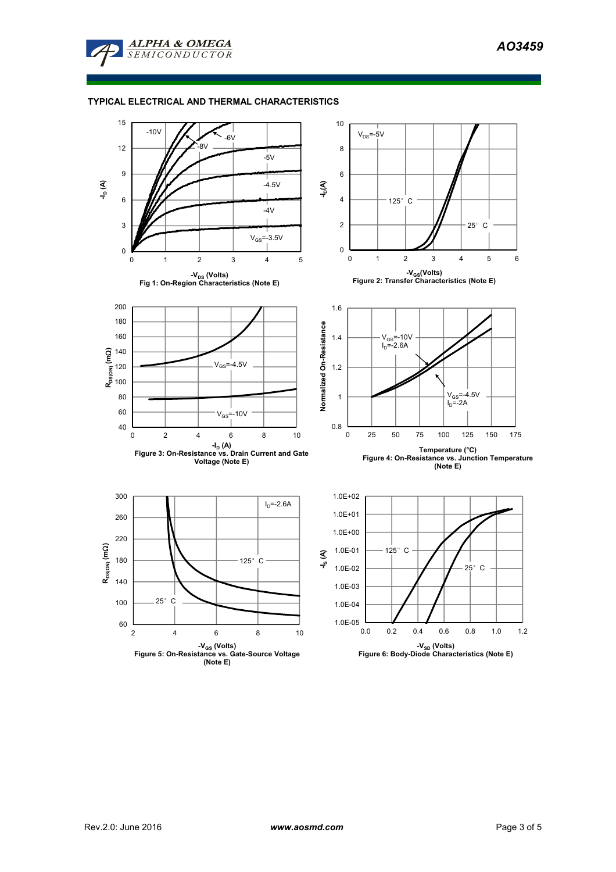

## **TYPICAL ELECTRICAL AND THERMAL CHARACTERISTICS**

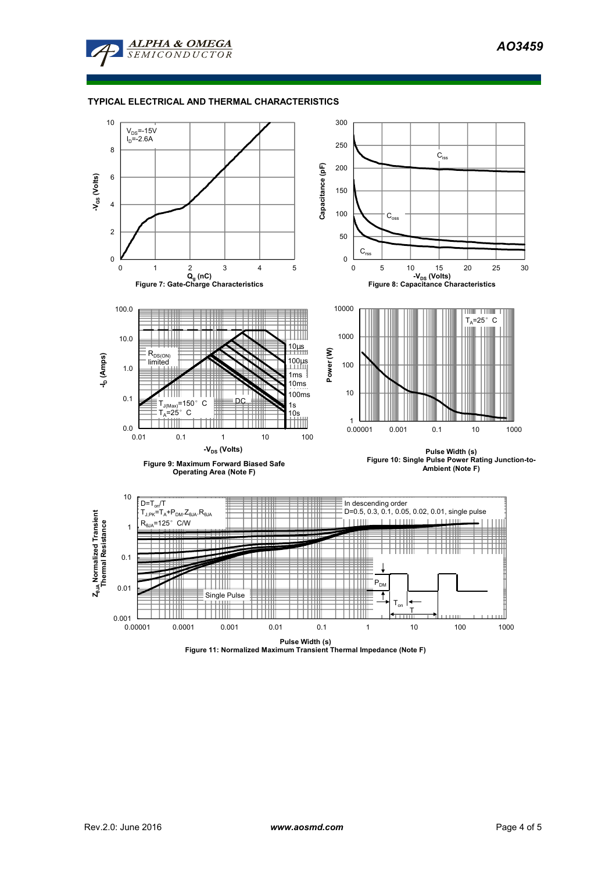*AO3459* 



## **TYPICAL ELECTRICAL AND THERMAL CHARACTERISTICS**